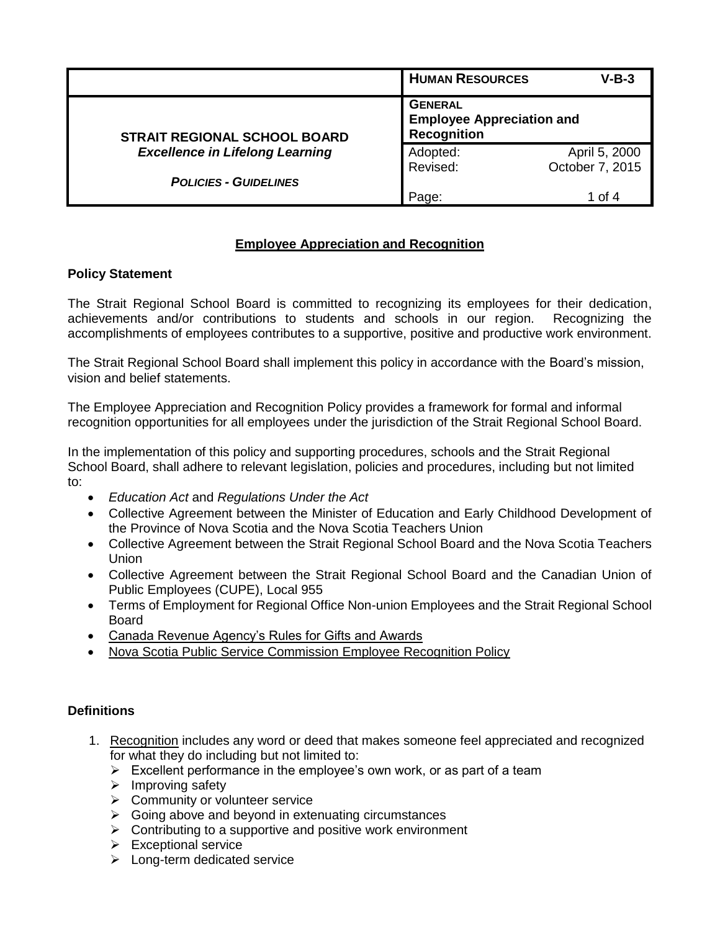|                                                                               | <b>HUMAN RESOURCES</b>               | $V-B-3$                          |  |
|-------------------------------------------------------------------------------|--------------------------------------|----------------------------------|--|
| <b>STRAIT REGIONAL SCHOOL BOARD</b><br><b>Excellence in Lifelong Learning</b> | <b>GENERAL</b><br><b>Recognition</b> | <b>Employee Appreciation and</b> |  |
|                                                                               | Adopted:                             | April 5, 2000                    |  |
|                                                                               | Revised:                             | October 7, 2015                  |  |
| <b>POLICIES - GUIDELINES</b>                                                  |                                      |                                  |  |
|                                                                               | Page:                                | 1 of 4                           |  |

## **Employee Appreciation and Recognition**

### **Policy Statement**

The Strait Regional School Board is committed to recognizing its employees for their dedication, achievements and/or contributions to students and schools in our region. Recognizing the accomplishments of employees contributes to a supportive, positive and productive work environment.

The Strait Regional School Board shall implement this policy in accordance with the Board's mission, vision and belief statements.

The Employee Appreciation and Recognition Policy provides a framework for formal and informal recognition opportunities for all employees under the jurisdiction of the Strait Regional School Board.

In the implementation of this policy and supporting procedures, schools and the Strait Regional School Board, shall adhere to relevant legislation, policies and procedures, including but not limited to:

- *Education Act* and *Regulations Under the Act*
- Collective Agreement between the Minister of Education and Early Childhood Development of the Province of Nova Scotia and the Nova Scotia Teachers Union
- Collective Agreement between the Strait Regional School Board and the Nova Scotia Teachers Union
- Collective Agreement between the Strait Regional School Board and the Canadian Union of Public Employees (CUPE), Local 955
- Terms of Employment for Regional Office Non-union Employees and the Strait Regional School Board
- [Canada Revenue Agency's Rules for Gifts and Awards](http://www.cra-arc.gc.ca/tx/bsnss/tpcs/pyrll/bnfts/gfts/plcy-eng.html)
- [Nova Scotia Public Service Commission Employee Recognition Policy](http://novascotia.ca/treasuryboard/manuals/PDF/500/50406.pdf)

## **Definitions**

- 1. Recognition includes any word or deed that makes someone feel appreciated and recognized for what they do including but not limited to:
	- $\triangleright$  Excellent performance in the employee's own work, or as part of a team
	- $\triangleright$  Improving safety
	- $\triangleright$  Community or volunteer service
	- $\triangleright$  Going above and beyond in extenuating circumstances
	- $\triangleright$  Contributing to a supportive and positive work environment
	- $\triangleright$  Exceptional service
	- $\blacktriangleright$  Long-term dedicated service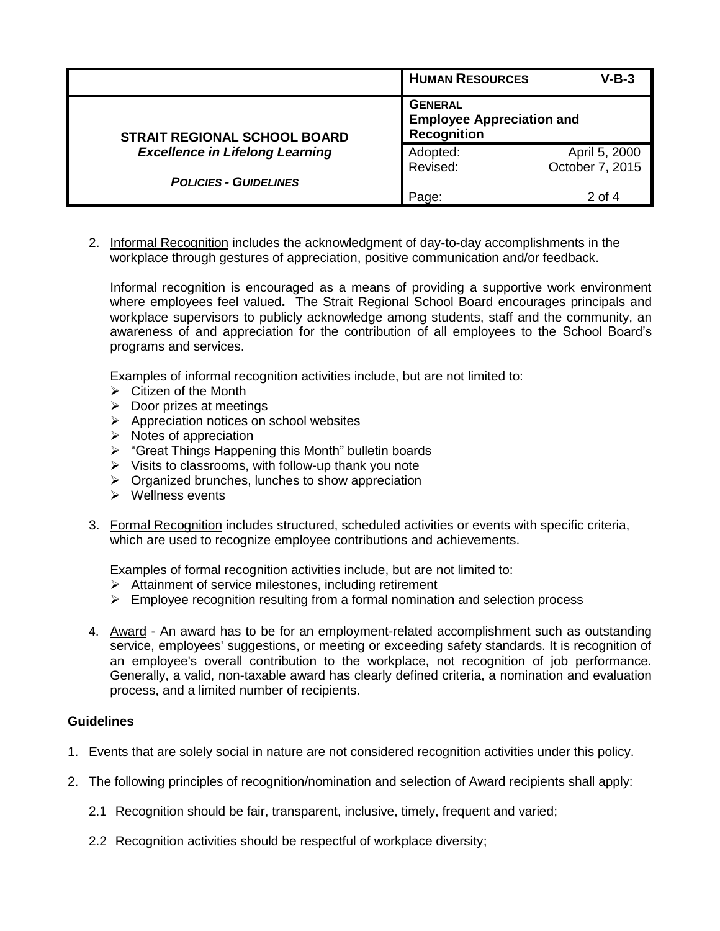|                                        | <b>HUMAN RESOURCES</b>                                                   | $V-B-3$         |
|----------------------------------------|--------------------------------------------------------------------------|-----------------|
| <b>STRAIT REGIONAL SCHOOL BOARD</b>    | <b>GENERAL</b><br><b>Employee Appreciation and</b><br><b>Recognition</b> |                 |
| <b>Excellence in Lifelong Learning</b> | Adopted:                                                                 | April 5, 2000   |
|                                        | Revised:                                                                 | October 7, 2015 |
| <b>POLICIES - GUIDELINES</b>           |                                                                          |                 |
|                                        | Page:                                                                    | 2 of 4          |

2. Informal Recognition includes the acknowledgment of day-to-day accomplishments in the workplace through gestures of appreciation, positive communication and/or feedback.

Informal recognition is encouraged as a means of providing a supportive work environment where employees feel valued**.** The Strait Regional School Board encourages principals and workplace supervisors to publicly acknowledge among students, staff and the community, an awareness of and appreciation for the contribution of all employees to the School Board's programs and services.

Examples of informal recognition activities include, but are not limited to:

- $\triangleright$  Citizen of the Month
- $\triangleright$  Door prizes at meetings
- $\triangleright$  Appreciation notices on school websites
- $\triangleright$  Notes of appreciation
- ▶ "Great Things Happening this Month" bulletin boards
- $\triangleright$  Visits to classrooms, with follow-up thank you note
- $\triangleright$  Organized brunches, lunches to show appreciation
- $\triangleright$  Wellness events
- 3. Formal Recognition includes structured, scheduled activities or events with specific criteria, which are used to recognize employee contributions and achievements.

Examples of formal recognition activities include, but are not limited to:

- $\triangleright$  Attainment of service milestones, including retirement
- $\triangleright$  Employee recognition resulting from a formal nomination and selection process
- 4. Award An award has to be for an employment-related accomplishment such as outstanding service, employees' suggestions, or meeting or exceeding safety standards. It is recognition of an employee's overall contribution to the workplace, not recognition of job performance. Generally, a valid, non-taxable award has clearly defined criteria, a nomination and evaluation process, and a limited number of recipients.

#### **Guidelines**

- 1. Events that are solely social in nature are not considered recognition activities under this policy.
- 2. The following principles of recognition/nomination and selection of Award recipients shall apply:
	- 2.1 Recognition should be fair, transparent, inclusive, timely, frequent and varied;
	- 2.2 Recognition activities should be respectful of workplace diversity;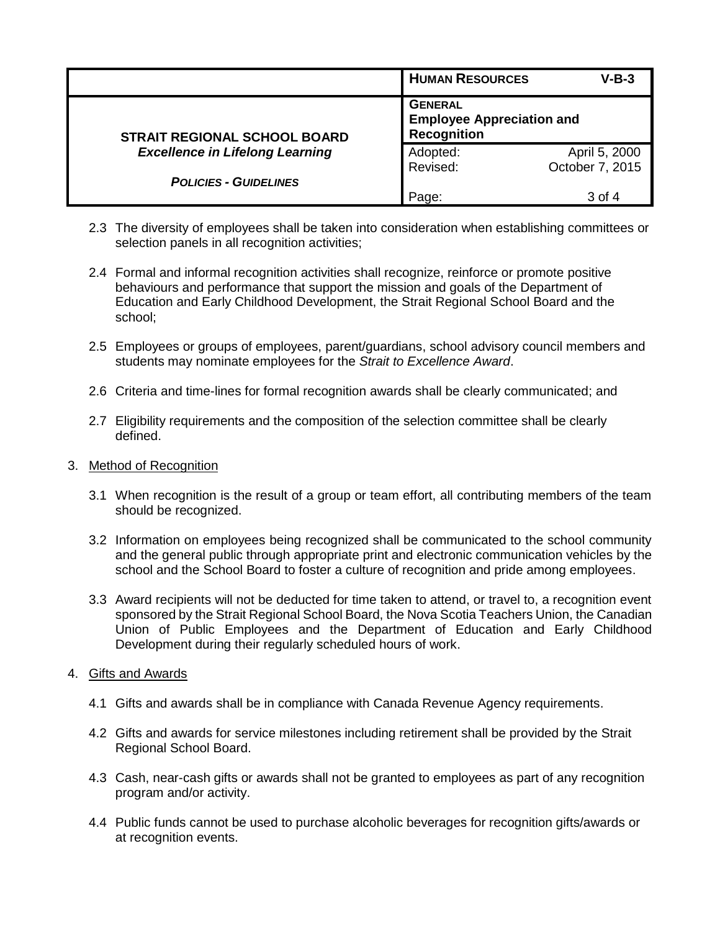|                                        | <b>HUMAN RESOURCES</b>                                                   | $V-B-3$         |
|----------------------------------------|--------------------------------------------------------------------------|-----------------|
| <b>STRAIT REGIONAL SCHOOL BOARD</b>    | <b>GENERAL</b><br><b>Employee Appreciation and</b><br><b>Recognition</b> |                 |
| <b>Excellence in Lifelong Learning</b> | Adopted:                                                                 | April 5, 2000   |
|                                        | Revised:                                                                 | October 7, 2015 |
| <b>POLICIES - GUIDELINES</b>           |                                                                          |                 |
|                                        | Page:                                                                    | 3 of 4          |

- 2.3 The diversity of employees shall be taken into consideration when establishing committees or selection panels in all recognition activities:
- 2.4 Formal and informal recognition activities shall recognize, reinforce or promote positive behaviours and performance that support the mission and goals of the Department of Education and Early Childhood Development, the Strait Regional School Board and the school;
- 2.5 Employees or groups of employees, parent/guardians, school advisory council members and students may nominate employees for the *Strait to Excellence Award*.
- 2.6 Criteria and time-lines for formal recognition awards shall be clearly communicated; and
- 2.7 Eligibility requirements and the composition of the selection committee shall be clearly defined.
- 3. Method of Recognition
	- 3.1 When recognition is the result of a group or team effort, all contributing members of the team should be recognized.
	- 3.2 Information on employees being recognized shall be communicated to the school community and the general public through appropriate print and electronic communication vehicles by the school and the School Board to foster a culture of recognition and pride among employees.
	- 3.3 Award recipients will not be deducted for time taken to attend, or travel to, a recognition event sponsored by the Strait Regional School Board, the Nova Scotia Teachers Union, the Canadian Union of Public Employees and the Department of Education and Early Childhood Development during their regularly scheduled hours of work.
- 4. Gifts and Awards
	- 4.1 Gifts and awards shall be in compliance with Canada Revenue Agency requirements.
	- 4.2 Gifts and awards for service milestones including retirement shall be provided by the Strait Regional School Board.
	- 4.3 Cash, near-cash gifts or awards shall not be granted to employees as part of any recognition program and/or activity.
	- 4.4 Public funds cannot be used to purchase alcoholic beverages for recognition gifts/awards or at recognition events.